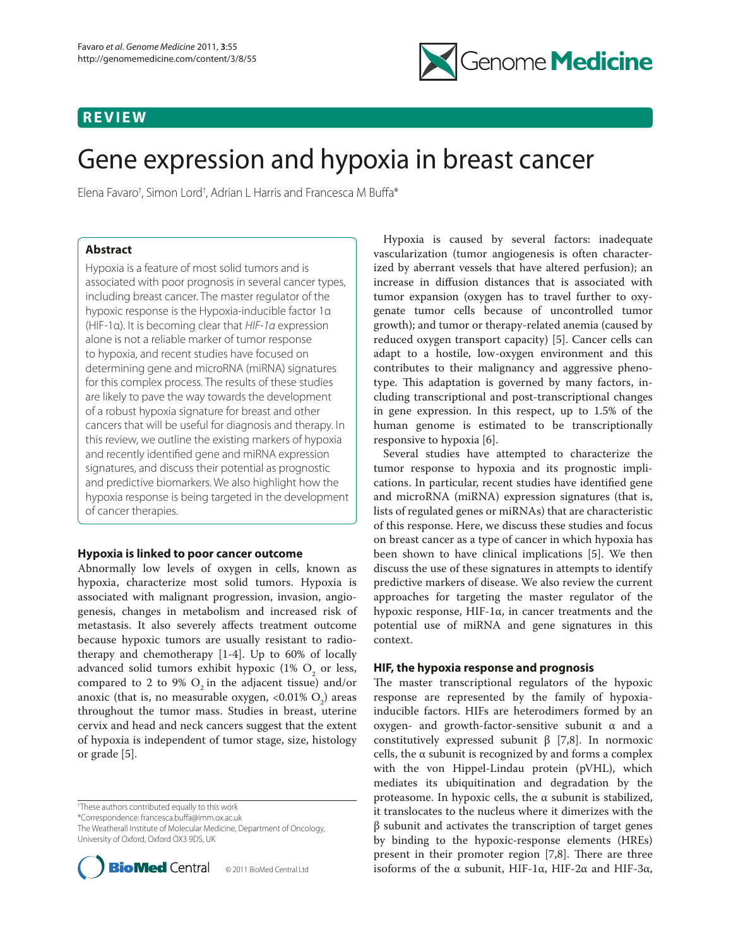# **REVIEW**



# Gene expression and hypoxia in breast cancer

Elena Favaro<sup>†</sup>, Simon Lord<sup>†</sup>, Adrian L Harris and Francesca M Buffa\*

# **Abstract**

Hypoxia is a feature of most solid tumors and is associated with poor prognosis in several cancer types, including breast cancer. The master regulator of the hypoxic response is the Hypoxia-inducible factor 1α (HIF-1α). It is becoming clear that *HIF-1α* expression alone is not a reliable marker of tumor response to hypoxia, and recent studies have focused on determining gene and microRNA (miRNA) signatures for this complex process. The results of these studies are likely to pave the way towards the development of a robust hypoxia signature for breast and other cancers that will be useful for diagnosis and therapy. In this review, we outline the existing markers of hypoxia and recently identified gene and miRNA expression signatures, and discuss their potential as prognostic and predictive biomarkers. We also highlight how the hypoxia response is being targeted in the development of cancer therapies.

# **Hypoxia is linked to poor cancer outcome**

Abnormally low levels of oxygen in cells, known as hypoxia, characterize most solid tumors. Hypoxia is associated with malignant progression, invasion, angiogenesis, changes in metabolism and increased risk of metastasis. It also severely affects treatment outcome because hypoxic tumors are usually resistant to radiotherapy and chemotherapy [1-4]. Up to 60% of locally advanced solid tumors exhibit hypoxic (1%  $O_{\frac{1}{2}}$  or less, compared to 2 to 9%  $O_2$  in the adjacent tissue) and/or anoxic (that is, no measurable oxygen, <0.01%  $O_2$ ) areas throughout the tumor mass. Studies in breast, uterine cervix and head and neck cancers suggest that the extent of hypoxia is independent of tumor stage, size, histology or grade [5].

† These authors contributed equally to this work

\*Correspondence: francesca.buffa@imm.ox.ac.uk

The Weatherall Institute of Molecular Medicine, Department of Oncology, University of Oxford, Oxford OX3 9DS, UK



Hypoxia is caused by several factors: inadequate vascularization (tumor angiogenesis is often characterized by aberrant vessels that have altered perfusion); an increase in diffusion distances that is associated with tumor expansion (oxygen has to travel further to oxygenate tumor cells because of uncontrolled tumor growth); and tumor or therapy-related anemia (caused by reduced oxygen transport capacity) [5]. Cancer cells can adapt to a hostile, low-oxygen environment and this contributes to their malignancy and aggressive phenotype. This adaptation is governed by many factors, including transcriptional and post-transcriptional changes in gene expression. In this respect, up to 1.5% of the human genome is estimated to be transcriptionally responsive to hypoxia [6].

Several studies have attempted to characterize the tumor response to hypoxia and its prognostic implications. In particular, recent studies have identified gene and microRNA (miRNA) expression signatures (that is, lists of regulated genes or miRNAs) that are characteristic of this response. Here, we discuss these studies and focus on breast cancer as a type of cancer in which hypoxia has been shown to have clinical implications [5]. We then discuss the use of these signatures in attempts to identify predictive markers of disease. We also review the current approaches for targeting the master regulator of the hypoxic response, HIF-1α, in cancer treatments and the potential use of miRNA and gene signatures in this context.

# **HIF, the hypoxia response and prognosis**

The master transcriptional regulators of the hypoxic response are represented by the family of hypoxiainducible factors. HIFs are heterodimers formed by an oxygen- and growth-factor-sensitive subunit α and a constitutively expressed subunit β [7,8]. In normoxic cells, the α subunit is recognized by and forms a complex with the von Hippel-Lindau protein (pVHL), which mediates its ubiquitination and degradation by the proteasome. In hypoxic cells, the α subunit is stabilized, it translocates to the nucleus where it dimerizes with the β subunit and activates the transcription of target genes by binding to the hypoxic-response elements (HREs) present in their promoter region  $[7,8]$ . There are three isoforms of the α subunit, HIF-1α, HIF-2α and HIF-3α,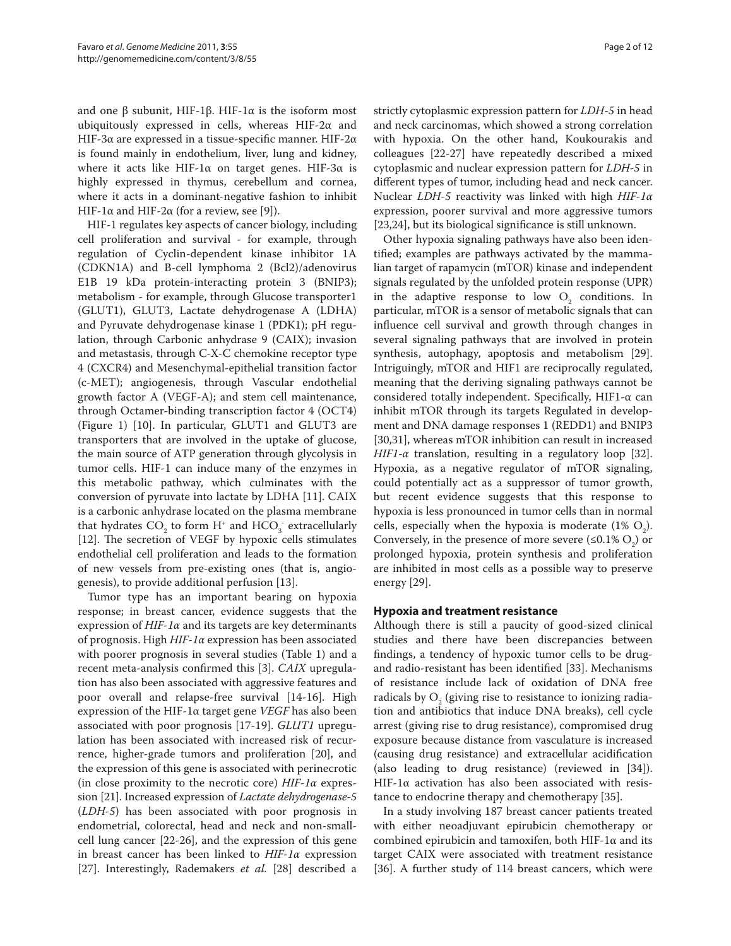and one β subunit, HIF-1β. HIF-1α is the isoform most ubiquitously expressed in cells, whereas HIF-2 $\alpha$  and HIF-3α are expressed in a tissue-specific manner. HIF-2α is found mainly in endothelium, liver, lung and kidney, where it acts like HIF-1 $\alpha$  on target genes. HIF-3 $\alpha$  is highly expressed in thymus, cerebellum and cornea, where it acts in a dominant-negative fashion to inhibit HIF-1 $\alpha$  and HIF-2 $\alpha$  (for a review, see [9]).

HIF-1 regulates key aspects of cancer biology, including cell proliferation and survival - for example, through regulation of Cyclin-dependent kinase inhibitor 1A (CDKN1A) and B-cell lymphoma 2 (Bcl2)/adenovirus E1B 19 kDa protein-interacting protein 3 (BNIP3); metabolism - for example, through Glucose transporter1 (GLUT1), GLUT3, Lactate dehydrogenase A (LDHA) and Pyruvate dehydrogenase kinase 1 (PDK1); pH regulation, through Carbonic anhydrase 9 (CAIX); invasion and metastasis, through C-X-C chemokine receptor type 4 (CXCR4) and Mesenchymal-epithelial transition factor (c-MET); angiogenesis, through Vascular endothelial growth factor A (VEGF-A); and stem cell maintenance, through Octamer-binding transcription factor 4 (OCT4) (Figure 1) [10]. In particular, GLUT1 and GLUT3 are transporters that are involved in the uptake of glucose, the main source of ATP generation through glycolysis in tumor cells. HIF-1 can induce many of the enzymes in this metabolic pathway, which culminates with the conversion of pyruvate into lactate by LDHA [11]. CAIX is a carbonic anhydrase located on the plasma membrane that hydrates  $CO_2$  to form H<sup>+</sup> and  $HCO_3$  extracellularly [12]. The secretion of VEGF by hypoxic cells stimulates endothelial cell proliferation and leads to the formation of new vessels from pre-existing ones (that is, angiogenesis), to provide additional perfusion [13].

Tumor type has an important bearing on hypoxia response; in breast cancer, evidence suggests that the expression of *HIF‑1α* and its targets are key determinants of prognosis. High *HIF‑1α* expression has been associated with poorer prognosis in several studies (Table 1) and a recent meta-analysis confirmed this [3]. *CAIX* upregulation has also been associated with aggressive features and poor overall and relapse-free survival [14-16]. High expression of the HIF-1α target gene *VEGF* has also been associated with poor prognosis [17-19]. *GLUT1* upregulation has been associated with increased risk of recurrence, higher-grade tumors and proliferation [20], and the expression of this gene is associated with perinecrotic (in close proximity to the necrotic core) *HIF‑1α* expression [21]. Increased expression of *Lactate dehydrogenase-5* (*LDH‑5*) has been associated with poor prognosis in endometrial, colorectal, head and neck and non-smallcell lung cancer [22-26], and the expression of this gene in breast cancer has been linked to *HIF‑1α* expression [27]. Interestingly, Rademakers *et al.* [28] described a strictly cytoplasmic expression pattern for *LDH‑5* in head and neck carcinomas, which showed a strong correlation with hypoxia. On the other hand, Koukourakis and colleagues [22-27] have repeatedly described a mixed cytoplasmic and nuclear expression pattern for *LDH‑5* in different types of tumor, including head and neck cancer. Nuclear *LDH‑5* reactivity was linked with high *HIF‑1α* expression, poorer survival and more aggressive tumors [23,24], but its biological significance is still unknown.

Other hypoxia signaling pathways have also been identified; examples are pathways activated by the mammalian target of rapamycin (mTOR) kinase and independent signals regulated by the unfolded protein response (UPR) in the adaptive response to low  $O_2$  conditions. In particular, mTOR is a sensor of metabolic signals that can influence cell survival and growth through changes in several signaling pathways that are involved in protein synthesis, autophagy, apoptosis and metabolism [29]. Intriguingly, mTOR and HIF1 are reciprocally regulated, meaning that the deriving signaling pathways cannot be considered totally independent. Specifically, HIF1-α can inhibit mTOR through its targets Regulated in development and DNA damage responses 1 (REDD1) and BNIP3 [30,31], whereas mTOR inhibition can result in increased *HIF1-α* translation, resulting in a regulatory loop [32]. Hypoxia, as a negative regulator of mTOR signaling, could potentially act as a suppressor of tumor growth, but recent evidence suggests that this response to hypoxia is less pronounced in tumor cells than in normal cells, especially when the hypoxia is moderate  $(1\% \text{ O}_2)$ . Conversely, in the presence of more severe  $(\leq 0.1\% \text{ O}_2)$  or prolonged hypoxia, protein synthesis and proliferation are inhibited in most cells as a possible way to preserve energy [29].

### **Hypoxia and treatment resistance**

Although there is still a paucity of good-sized clinical studies and there have been discrepancies between findings, a tendency of hypoxic tumor cells to be drugand radio-resistant has been identified [33]. Mechanisms of resistance include lack of oxidation of DNA free radicals by  $O_2$  (giving rise to resistance to ionizing radiation and antibiotics that induce DNA breaks), cell cycle arrest (giving rise to drug resistance), compromised drug exposure because distance from vasculature is increased (causing drug resistance) and extracellular acidification (also leading to drug resistance) (reviewed in [34]). HIF-1 $\alpha$  activation has also been associated with resistance to endocrine therapy and chemotherapy [35].

In a study involving 187 breast cancer patients treated with either neoadjuvant epirubicin chemotherapy or combined epirubicin and tamoxifen, both HIF-1 $\alpha$  and its target CAIX were associated with treatment resistance [36]. A further study of 114 breast cancers, which were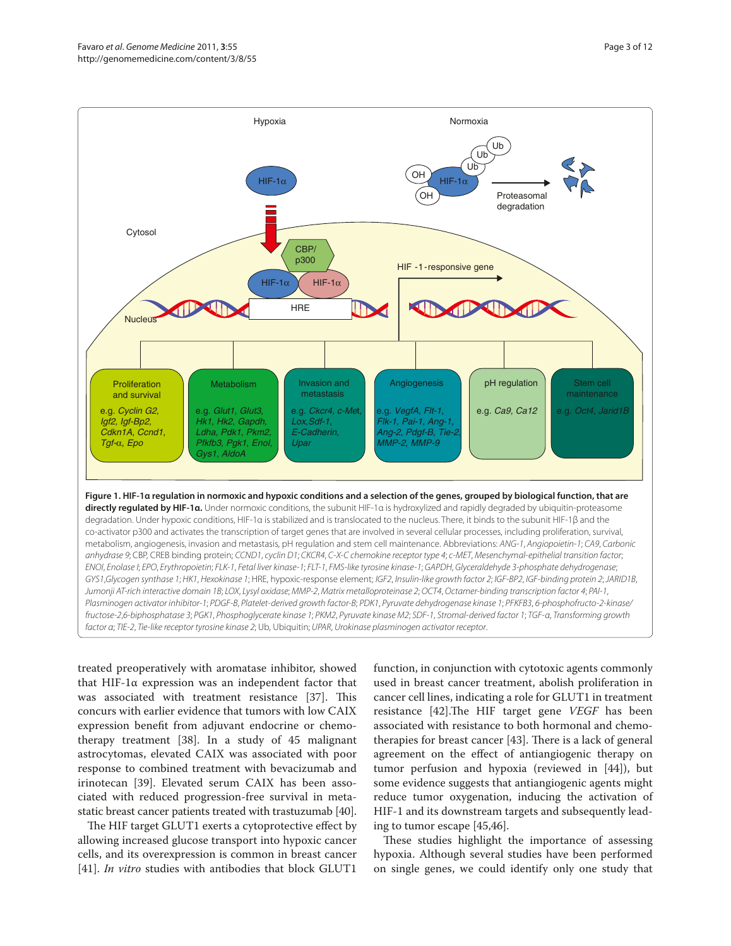

treated preoperatively with aromatase inhibitor, showed that HIF-1α expression was an independent factor that was associated with treatment resistance [37]. This concurs with earlier evidence that tumors with low CAIX expression benefit from adjuvant endocrine or chemotherapy treatment [38]. In a study of 45 malignant astrocytomas, elevated CAIX was associated with poor response to combined treatment with bevacizumab and irinotecan [39]. Elevated serum CAIX has been associated with reduced progression-free survival in metastatic breast cancer patients treated with trastuzumab [40].

*factor α*; *TIE-2*, *Tie-like receptor tyrosine kinase 2*; Ub, Ubiquitin; *UPAR*, *Urokinase plasminogen activator receptor*.

The HIF target GLUT1 exerts a cytoprotective effect by allowing increased glucose transport into hypoxic cancer cells, and its overexpression is common in breast cancer [41]. *In vitro* studies with antibodies that block GLUT1 function, in conjunction with cytotoxic agents commonly used in breast cancer treatment, abolish proliferation in cancer cell lines, indicating a role for GLUT1 in treatment resistance [42]. The HIF target gene *VEGF* has been associated with resistance to both hormonal and chemotherapies for breast cancer  $[43]$ . There is a lack of general agreement on the effect of antiangiogenic therapy on tumor perfusion and hypoxia (reviewed in [44]), but some evidence suggests that antiangiogenic agents might reduce tumor oxygenation, inducing the activation of HIF-1 and its downstream targets and subsequently leading to tumor escape [45,46].

These studies highlight the importance of assessing hypoxia. Although several studies have been performed on single genes, we could identify only one study that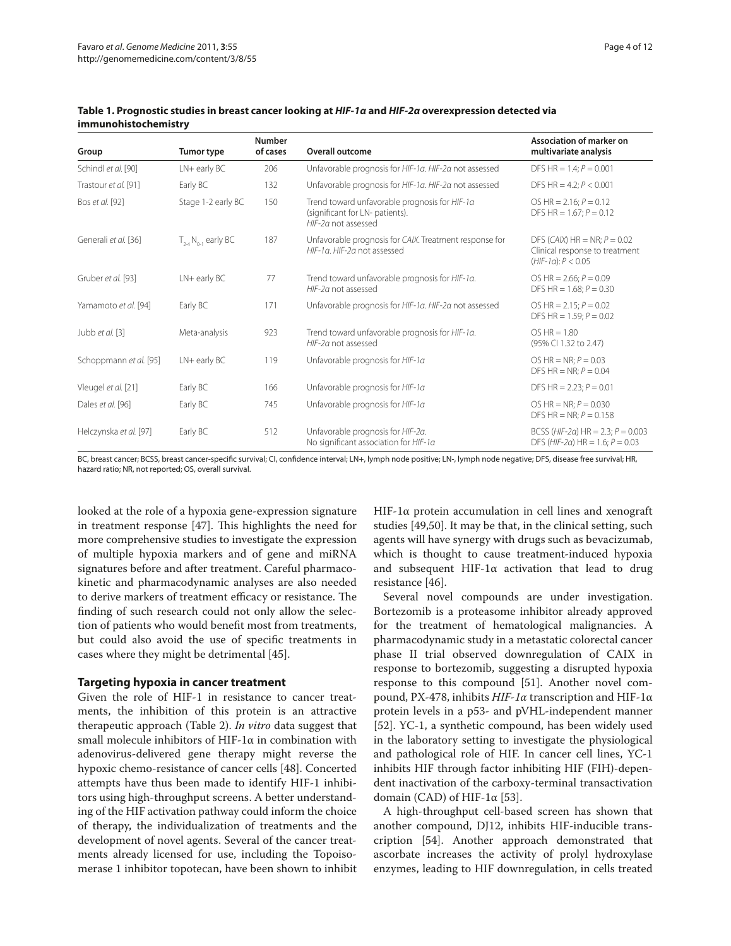| Group                  | Tumor type              | Number<br>of cases | Overall outcome                                                                                         | Association of marker on<br>multivariate analysis                                        |
|------------------------|-------------------------|--------------------|---------------------------------------------------------------------------------------------------------|------------------------------------------------------------------------------------------|
| Schindl et al. [90]    | $LN +$ early $BC$       | 206                | Unfavorable prognosis for HIF-1a. HIF-2a not assessed                                                   | DFS HR = $1.4; P = 0.001$                                                                |
| Trastour et al. [91]   | Early BC                | 132                | Unfavorable prognosis for HIF-1a. HIF-2a not assessed                                                   | DFS HR = $4.2: P < 0.001$                                                                |
| Bos et al. [92]        | Stage 1-2 early BC      | 150                | Trend toward unfavorable prognosis for HIF-1a<br>(significant for LN- patients).<br>HIF-2a not assessed | OS HR = $2.16; P = 0.12$<br>DFS HR = $1.67; P = 0.12$                                    |
| Generali et al. [36]   | $T_{2A}N_{0A}$ early BC | 187                | Unfavorable prognosis for CAIX. Treatment response for<br>HIF-1a. HIF-2a not assessed                   | DFS (CAIX) $HR = NR; P = 0.02$<br>Clinical response to treatment<br>$(HIF-1a): P < 0.05$ |
| Gruber et al. [93]     | $LN$ + early $BC$       | 77                 | Trend toward unfavorable prognosis for HIF-1a.<br>HIF-2a not assessed                                   | OS HR = $2.66: P = 0.09$<br>DFS HR = $1.68: P = 0.30$                                    |
| Yamamoto et al. [94]   | Early BC                | 171                | Unfavorable prognosis for HIF-1a. HIF-2a not assessed                                                   | OS HR = $2.15; P = 0.02$<br>DFS HR = $1.59; P = 0.02$                                    |
| Jubb et al. [3]        | Meta-analysis           | 923                | Trend toward unfavorable prognosis for HIF-1a.<br>HIF-2a not assessed                                   | $OS HR = 1.80$<br>(95% CI 1.32 to 2.47)                                                  |
| Schoppmann et al. [95] | $LN+$ early $BC$        | 119                | Unfavorable prognosis for HIF-1a                                                                        | OS HR = NR; $P = 0.03$<br>DFS HR = NR; $P = 0.04$                                        |
| Vleugel et al. [21]    | Early BC                | 166                | Unfavorable prognosis for HIF-1a                                                                        | DFS HR = $2.23: P = 0.01$                                                                |
| Dales et al. [96]      | Early BC                | 745                | Unfavorable prognosis for HIF-1a                                                                        | OS HR = NR; $P = 0.030$<br>DFS HR = NR; $P = 0.158$                                      |
| Helczynska et al. [97] | Early BC                | 512                | Unfavorable prognosis for HIF-2a.<br>No significant association for HIF-1a                              | BCSS (HIF-2a) HR = 2.3; $P = 0.003$<br>DFS (HIF-2a) HR = 1.6; $P = 0.03$                 |

**Table 1. Prognostic studies in breast cancer looking at** *HIF‑1α* **and** *HIF‑2α* **overexpression detected via immunohistochemistry**

BC, breast cancer; BCSS, breast cancer-specific survival; CI, confidence interval; LN+, lymph node positive; LN-, lymph node negative; DFS, disease free survival; HR, hazard ratio; NR, not reported; OS, overall survival.

looked at the role of a hypoxia gene-expression signature in treatment response [47]. This highlights the need for more comprehensive studies to investigate the expression of multiple hypoxia markers and of gene and miRNA signatures before and after treatment. Careful pharmacokinetic and pharmacodynamic analyses are also needed to derive markers of treatment efficacy or resistance. The finding of such research could not only allow the selection of patients who would benefit most from treatments, but could also avoid the use of specific treatments in cases where they might be detrimental [45].

# **Targeting hypoxia in cancer treatment**

Given the role of HIF-1 in resistance to cancer treatments, the inhibition of this protein is an attractive therapeutic approach (Table 2). *In vitro* data suggest that small molecule inhibitors of HIF-1 $\alpha$  in combination with adenovirus-delivered gene therapy might reverse the hypoxic chemo-resistance of cancer cells [48]. Concerted attempts have thus been made to identify HIF-1 inhibitors using high-throughput screens. A better understanding of the HIF activation pathway could inform the choice of therapy, the individualization of treatments and the development of novel agents. Several of the cancer treatments already licensed for use, including the Topoisomerase 1 inhibitor topotecan, have been shown to inhibit

HIF-1 $\alpha$  protein accumulation in cell lines and xenograft studies [49,50]. It may be that, in the clinical setting, such agents will have synergy with drugs such as bevacizumab, which is thought to cause treatment-induced hypoxia and subsequent HIF-1 $\alpha$  activation that lead to drug resistance [46].

Several novel compounds are under investigation. Bortezomib is a proteasome inhibitor already approved for the treatment of hematological malignancies. A pharmacodynamic study in a metastatic colorectal cancer phase II trial observed downregulation of CAIX in response to bortezomib, suggesting a disrupted hypoxia response to this compound [51]. Another novel compound, PX-478, inhibits *HIF-1α* transcription and HIF-1α protein levels in a p53- and pVHL-independent manner [52]. YC-1, a synthetic compound, has been widely used in the laboratory setting to investigate the physiological and pathological role of HIF. In cancer cell lines, YC-1 inhibits HIF through factor inhibiting HIF (FIH)-dependent inactivation of the carboxy-terminal transactivation domain (CAD) of HIF-1 $\alpha$  [53].

A high-throughput cell-based screen has shown that another compound, DJ12, inhibits HIF-inducible transcription [54]. Another approach demonstrated that ascorbate increases the activity of prolyl hydroxylase enzymes, leading to HIF downregulation, in cells treated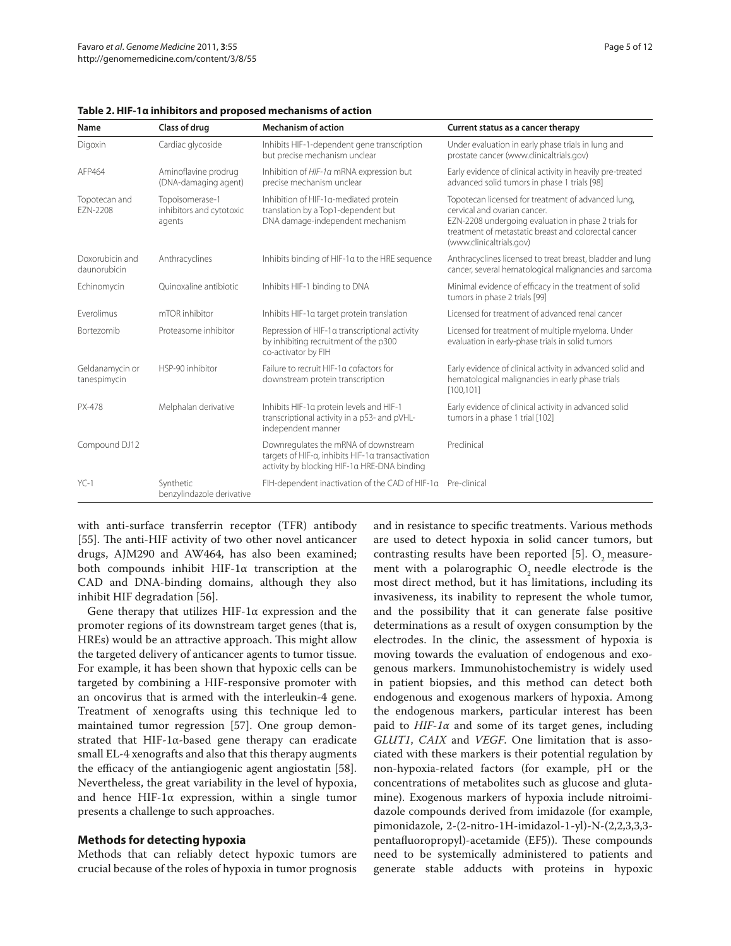| Name                            | Class of drug                                         | <b>Mechanism of action</b>                                                                                                               | Current status as a cancer therapy                                                                                                                                                                                             |
|---------------------------------|-------------------------------------------------------|------------------------------------------------------------------------------------------------------------------------------------------|--------------------------------------------------------------------------------------------------------------------------------------------------------------------------------------------------------------------------------|
| Digoxin                         | Cardiac glycoside                                     | Inhibits HIF-1-dependent gene transcription<br>but precise mechanism unclear                                                             | Under evaluation in early phase trials in lung and<br>prostate cancer (www.clinicaltrials.gov)                                                                                                                                 |
| AFP464                          | Aminoflavine prodrug<br>(DNA-damaging agent)          | Inhibition of HIF-1a mRNA expression but<br>precise mechanism unclear                                                                    | Early evidence of clinical activity in heavily pre-treated<br>advanced solid tumors in phase 1 trials [98]                                                                                                                     |
| Topotecan and<br>EZN-2208       | Topoisomerase-1<br>inhibitors and cytotoxic<br>agents | Inhibition of HIF-1a-mediated protein<br>translation by a Top1-dependent but<br>DNA damage-independent mechanism                         | Topotecan licensed for treatment of advanced lung,<br>cervical and ovarian cancer.<br>EZN-2208 undergoing evaluation in phase 2 trials for<br>treatment of metastatic breast and colorectal cancer<br>(www.clinicaltrials.gov) |
| Doxorubicin and<br>daunorubicin | Anthracyclines                                        | Inhibits binding of HIF-1a to the HRE sequence                                                                                           | Anthracyclines licensed to treat breast, bladder and lung<br>cancer, several hematological malignancies and sarcoma                                                                                                            |
| Echinomycin                     | Ouinoxaline antibiotic                                | Inhibits HIF-1 binding to DNA                                                                                                            | Minimal evidence of efficacy in the treatment of solid<br>tumors in phase 2 trials [99]                                                                                                                                        |
| Fverolimus                      | mTOR inhibitor                                        | Inhibits HIF-1a target protein translation                                                                                               | Licensed for treatment of advanced renal cancer                                                                                                                                                                                |
| <b>Bortezomib</b>               | Proteasome inhibitor                                  | Repression of HIF-1a transcriptional activity<br>by inhibiting recruitment of the p300<br>co-activator by FIH                            | Licensed for treatment of multiple myeloma. Under<br>evaluation in early-phase trials in solid tumors                                                                                                                          |
| Geldanamycin or<br>tanespimycin | HSP-90 inhibitor                                      | Failure to recruit HIF-1a cofactors for<br>downstream protein transcription                                                              | Early evidence of clinical activity in advanced solid and<br>hematological malignancies in early phase trials<br>[100.101]                                                                                                     |
| PX-478                          | Melphalan derivative                                  | Inhibits HIF-1a protein levels and HIF-1<br>transcriptional activity in a p53- and pVHL-<br>independent manner                           | Early evidence of clinical activity in advanced solid<br>tumors in a phase 1 trial [102]                                                                                                                                       |
| Compound DJ12                   |                                                       | Downregulates the mRNA of downstream<br>targets of HIF-a, inhibits HIF-1a transactivation<br>activity by blocking HIF-1a HRE-DNA binding | Preclinical                                                                                                                                                                                                                    |
| $YC-1$                          | Synthetic<br>benzylindazole derivative                | FIH-dependent inactivation of the CAD of HIF-1a                                                                                          | Pre-clinical                                                                                                                                                                                                                   |

with anti-surface transferrin receptor (TFR) antibody [55]. The anti-HIF activity of two other novel anticancer drugs, AJM290 and AW464, has also been examined; both compounds inhibit HIF-1 $\alpha$  transcription at the CAD and DNA-binding domains, although they also inhibit HIF degradation [56].

Gene therapy that utilizes  $HIF-1\alpha$  expression and the promoter regions of its downstream target genes (that is, HREs) would be an attractive approach. This might allow the targeted delivery of anticancer agents to tumor tissue. For example, it has been shown that hypoxic cells can be targeted by combining a HIF-responsive promoter with an oncovirus that is armed with the interleukin-4 gene. Treatment of xenografts using this technique led to maintained tumor regression [57]. One group demonstrated that HIF-1 $\alpha$ -based gene therapy can eradicate small EL-4 xenografts and also that this therapy augments the efficacy of the antiangiogenic agent angiostatin [58]. Nevertheless, the great variability in the level of hypoxia, and hence HIF-1 $\alpha$  expression, within a single tumor presents a challenge to such approaches.

# **Methods for detecting hypoxia**

Methods that can reliably detect hypoxic tumors are crucial because of the roles of hypoxia in tumor prognosis and in resistance to specific treatments. Various methods are used to detect hypoxia in solid cancer tumors, but contrasting results have been reported  $[5]$ . O<sub>2</sub> measurement with a polarographic  $O<sub>2</sub>$  needle electrode is the most direct method, but it has limitations, including its invasiveness, its inability to represent the whole tumor, and the possibility that it can generate false positive determinations as a result of oxygen consumption by the electrodes. In the clinic, the assessment of hypoxia is moving towards the evaluation of endogenous and exogenous markers. Immunohistochemistry is widely used in patient biopsies, and this method can detect both endogenous and exogenous markers of hypoxia. Among the endogenous markers, particular interest has been paid to *HIF‑1α* and some of its target genes, including *GLUT1*, *CAIX* and *VEGF*. One limitation that is associated with these markers is their potential regulation by non-hypoxia-related factors (for example, pH or the concentrations of metabolites such as glucose and glutamine). Exogenous markers of hypoxia include nitroimidazole compounds derived from imidazole (for example, pimonidazole, 2-(2-nitro-1H-imidazol-1-yl)-N-(2,2,3,3,3pentafluoropropyl)-acetamide (EF5)). These compounds need to be systemically administered to patients and generate stable adducts with proteins in hypoxic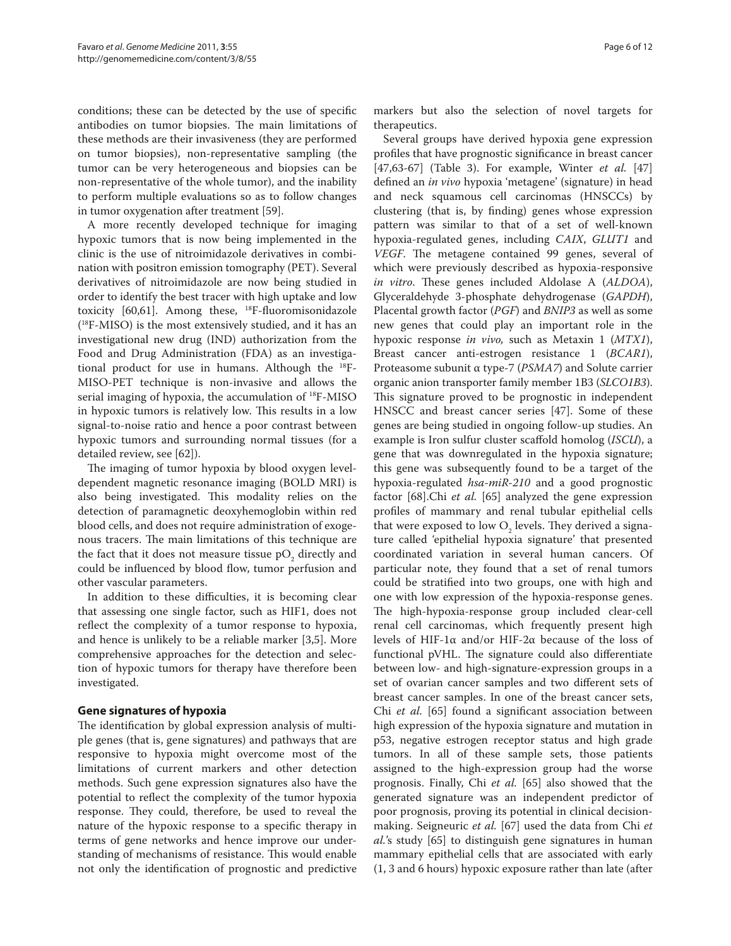conditions; these can be detected by the use of specific antibodies on tumor biopsies. The main limitations of these methods are their invasiveness (they are performed on tumor biopsies), non-representative sampling (the tumor can be very heterogeneous and biopsies can be non-representative of the whole tumor), and the inability to perform multiple evaluations so as to follow changes in tumor oxygenation after treatment [59].

A more recently developed technique for imaging hypoxic tumors that is now being implemented in the clinic is the use of nitroimidazole derivatives in combination with positron emission tomography (PET). Several derivatives of nitroimidazole are now being studied in order to identify the best tracer with high uptake and low toxicity  $[60,61]$ . Among these, <sup>18</sup>F-fluoromisonidazole ( 18F-MISO) is the most extensively studied, and it has an investigational new drug (IND) authorization from the Food and Drug Administration (FDA) as an investigational product for use in humans. Although the 18F-MISO-PET technique is non-invasive and allows the serial imaging of hypoxia, the accumulation of 18F-MISO in hypoxic tumors is relatively low. This results in a low signal-to-noise ratio and hence a poor contrast between hypoxic tumors and surrounding normal tissues (for a detailed review, see [62]).

The imaging of tumor hypoxia by blood oxygen leveldependent magnetic resonance imaging (BOLD MRI) is also being investigated. This modality relies on the detection of paramagnetic deoxyhemoglobin within red blood cells, and does not require administration of exogenous tracers. The main limitations of this technique are the fact that it does not measure tissue  $pO_2$  directly and could be influenced by blood flow, tumor perfusion and other vascular parameters.

In addition to these difficulties, it is becoming clear that assessing one single factor, such as HIF1, does not reflect the complexity of a tumor response to hypoxia, and hence is unlikely to be a reliable marker [3,5]. More comprehensive approaches for the detection and selection of hypoxic tumors for therapy have therefore been investigated.

# **Gene signatures of hypoxia**

The identification by global expression analysis of multiple genes (that is, gene signatures) and pathways that are responsive to hypoxia might overcome most of the limitations of current markers and other detection methods. Such gene expression signatures also have the potential to reflect the complexity of the tumor hypoxia response. They could, therefore, be used to reveal the nature of the hypoxic response to a specific therapy in terms of gene networks and hence improve our understanding of mechanisms of resistance. This would enable not only the identification of prognostic and predictive

markers but also the selection of novel targets for therapeutics.

Several groups have derived hypoxia gene expression profiles that have prognostic significance in breast cancer [47,63-67] (Table 3). For example, Winter *et al.* [47] defined an *in vivo* hypoxia 'metagene' (signature) in head and neck squamous cell carcinomas (HNSCCs) by clustering (that is, by finding) genes whose expression pattern was similar to that of a set of well-known hypoxia-regulated genes, including *CAIX*, *GLUT1* and *VEGF*. The metagene contained 99 genes, several of which were previously described as hypoxia-responsive *in vitro*. These genes included Aldolase A (*ALDOA*), Glyceraldehyde 3-phosphate dehydrogenase (*GAPDH*), Placental growth factor (*PGF*) and *BNIP3* as well as some new genes that could play an important role in the hypoxic response *in vivo,* such as Metaxin 1 (*MTX1*), Breast cancer anti-estrogen resistance 1 (*BCAR1*), Proteasome subunit α type-7 (*PSMA7*) and Solute carrier organic anion transporter family member 1B3 (*SLCO1B3*). This signature proved to be prognostic in independent HNSCC and breast cancer series [47]. Some of these genes are being studied in ongoing follow-up studies. An example is Iron sulfur cluster scaffold homolog (*ISCU*), a gene that was downregulated in the hypoxia signature; this gene was subsequently found to be a target of the hypoxia-regulated *hsa-miR-210* and a good prognostic factor [68].Chi *et al.* [65] analyzed the gene expression profiles of mammary and renal tubular epithelial cells that were exposed to low  $O_2$  levels. They derived a signature called 'epithelial hypoxia signature' that presented coordinated variation in several human cancers. Of particular note, they found that a set of renal tumors could be stratified into two groups, one with high and one with low expression of the hypoxia-response genes. The high-hypoxia-response group included clear-cell renal cell carcinomas, which frequently present high levels of HIF-1α and/or HIF-2α because of the loss of functional pVHL. The signature could also differentiate between low- and high-signature-expression groups in a set of ovarian cancer samples and two different sets of breast cancer samples. In one of the breast cancer sets, Chi *et al.* [65] found a significant association between high expression of the hypoxia signature and mutation in p53, negative estrogen receptor status and high grade tumors. In all of these sample sets, those patients assigned to the high-expression group had the worse prognosis. Finally, Chi *et al.* [65] also showed that the generated signature was an independent predictor of poor prognosis, proving its potential in clinical decisionmaking. Seigneuric *et al.* [67] used the data from Chi *et al.*'s study [65] to distinguish gene signatures in human mammary epithelial cells that are associated with early (1, 3 and 6 hours) hypoxic exposure rather than late (after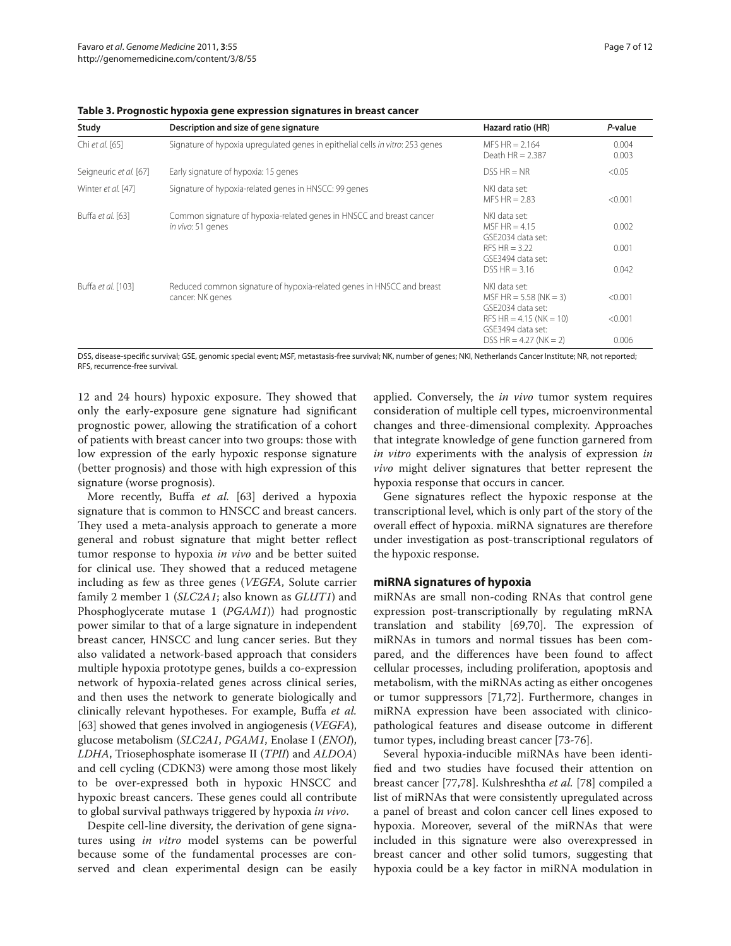| Study                  | Description and size of gene signature                                                    | Hazard ratio (HR)                                                                                                                            | P-value                     |
|------------------------|-------------------------------------------------------------------------------------------|----------------------------------------------------------------------------------------------------------------------------------------------|-----------------------------|
| Chi et al. [65]        | Signature of hypoxia upregulated genes in epithelial cells in vitro: 253 genes            | $MFS$ HR = 2.164<br>Death $HR = 2.387$                                                                                                       | 0.004<br>0.003              |
| Seigneuric et al. [67] | Early signature of hypoxia: 15 genes                                                      | $DSS HR = NR$                                                                                                                                | < 0.05                      |
| Winter et al. [47]     | Signature of hypoxia-related genes in HNSCC: 99 genes                                     | NKI data set:<br>MFS HR $= 2.83$                                                                                                             | < 0.001                     |
| Buffa et al. [63]      | Common signature of hypoxia-related genes in HNSCC and breast cancer<br>in vivo: 51 genes | NKI data set:<br>MSF HR $= 4.15$<br>GSE2034 data set:<br>RFS HR $=$ 3.22<br>GSE3494 data set:<br>$DSS HR = 3.16$                             | 0.002<br>0.001<br>0.042     |
| Buffa et al. [103]     | Reduced common signature of hypoxia-related genes in HNSCC and breast<br>cancer: NK genes | NKI data set:<br>MSF HR = $5.58$ (NK = 3)<br>GSE2034 data set:<br>RFS HR = $4.15$ (NK = 10)<br>GSE3494 data set:<br>$DSS HR = 4.27$ (NK = 2) | < 0.001<br>< 0.001<br>0.006 |

**Table 3. Prognostic hypoxia gene expression signatures in breast cancer**

DSS, disease-specific survival; GSE, genomic special event; MSF, metastasis-free survival; NK, number of genes; NKI, Netherlands Cancer Institute; NR, not reported; RFS, recurrence-free survival.

12 and 24 hours) hypoxic exposure. They showed that only the early-exposure gene signature had significant prognostic power, allowing the stratification of a cohort of patients with breast cancer into two groups: those with low expression of the early hypoxic response signature (better prognosis) and those with high expression of this signature (worse prognosis).

More recently, Buffa *et al.* [63] derived a hypoxia signature that is common to HNSCC and breast cancers. They used a meta-analysis approach to generate a more general and robust signature that might better reflect tumor response to hypoxia *in vivo* and be better suited for clinical use. They showed that a reduced metagene including as few as three genes (*VEGFA*, Solute carrier family 2 member 1 (*SLC2A1*; also known as *GLUT1*) and Phosphoglycerate mutase 1 (*PGAM1*)) had prognostic power similar to that of a large signature in independent breast cancer, HNSCC and lung cancer series. But they also validated a network-based approach that considers multiple hypoxia prototype genes, builds a co-expression network of hypoxia-related genes across clinical series, and then uses the network to generate biologically and clinically relevant hypotheses. For example, Buffa *et al.* [63] showed that genes involved in angiogenesis (*VEGFA*), glucose metabolism (*SLC2A1*, *PGAM1*, Enolase I (*ENOI*), *LDHA*, Triosephosphate isomerase II (*TPII*) and *ALDOA*) and cell cycling (CDKN3) were among those most likely to be over-expressed both in hypoxic HNSCC and hypoxic breast cancers. These genes could all contribute to global survival pathways triggered by hypoxia *in vivo*.

Despite cell-line diversity, the derivation of gene signatures using *in vitro* model systems can be powerful because some of the fundamental processes are conserved and clean experimental design can be easily

applied. Conversely, the *in vivo* tumor system requires consideration of multiple cell types, microenvironmental changes and three-dimensional complexity. Approaches that integrate knowledge of gene function garnered from *in vitro* experiments with the analysis of expression *in vivo* might deliver signatures that better represent the hypoxia response that occurs in cancer.

Gene signatures reflect the hypoxic response at the transcriptional level, which is only part of the story of the overall effect of hypoxia. miRNA signatures are therefore under investigation as post-transcriptional regulators of the hypoxic response.

## **miRNA signatures of hypoxia**

miRNAs are small non-coding RNAs that control gene expression post-transcriptionally by regulating mRNA translation and stability [69,70]. The expression of miRNAs in tumors and normal tissues has been compared, and the differences have been found to affect cellular processes, including proliferation, apoptosis and metabolism, with the miRNAs acting as either oncogenes or tumor suppressors [71,72]. Furthermore, changes in miRNA expression have been associated with clinicopathological features and disease outcome in different tumor types, including breast cancer [73-76].

Several hypoxia-inducible miRNAs have been identified and two studies have focused their attention on breast cancer [77,78]. Kulshreshtha *et al.* [78] compiled a list of miRNAs that were consistently upregulated across a panel of breast and colon cancer cell lines exposed to hypoxia. Moreover, several of the miRNAs that were included in this signature were also overexpressed in breast cancer and other solid tumors, suggesting that hypoxia could be a key factor in miRNA modulation in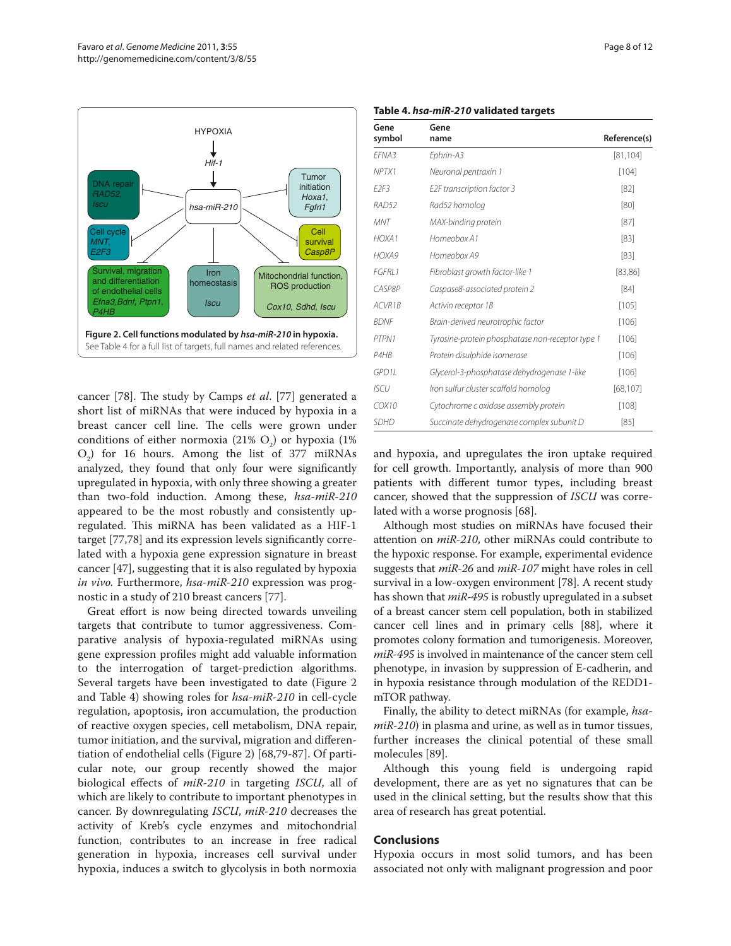

cancer [78]. The study by Camps *et al.* [77] generated a short list of miRNAs that were induced by hypoxia in a breast cancer cell line. The cells were grown under conditions of either normoxia  $(21\% \text{ O}_2)$  or hypoxia  $(1\%$  $O_2$ ) for 16 hours. Among the list of 377 miRNAs analyzed, they found that only four were significantly upregulated in hypoxia, with only three showing a greater than two-fold induction. Among these, *hsa-miR-210* appeared to be the most robustly and consistently upregulated. This miRNA has been validated as a HIF-1 target [77,78] and its expression levels significantly correlated with a hypoxia gene expression signature in breast cancer [47], suggesting that it is also regulated by hypoxia *in vivo.* Furthermore, *hsa-miR-210* expression was prognostic in a study of 210 breast cancers [77].

Great effort is now being directed towards unveiling targets that contribute to tumor aggressiveness. Comparative analysis of hypoxia-regulated miRNAs using gene expression profiles might add valuable information to the interrogation of target-prediction algorithms. Several targets have been investigated to date (Figure 2 and Table 4) showing roles for *hsa-miR-210* in cell-cycle regulation, apoptosis, iron accumulation, the production of reactive oxygen species, cell metabolism, DNA repair, tumor initiation, and the survival, migration and differentiation of endothelial cells (Figure 2) [68,79-87]. Of particular note, our group recently showed the major biological effects of *miR-210* in targeting *ISCU*, all of which are likely to contribute to important phenotypes in cancer. By downregulating *ISCU*, *miR-210* decreases the activity of Kreb's cycle enzymes and mitochondrial function, contributes to an increase in free radical generation in hypoxia, increases cell survival under hypoxia, induces a switch to glycolysis in both normoxia

|  |  |  | Table 4. hsa-miR-210 validated targets |  |
|--|--|--|----------------------------------------|--|
|--|--|--|----------------------------------------|--|

| Gene<br>symbol                | Gene<br>name                                     | Reference(s) |
|-------------------------------|--------------------------------------------------|--------------|
| FFNA3                         | Ephrin-A3                                        | [81, 104]    |
| NPTX1                         | Neuronal pentraxin 1                             | $[104]$      |
| E <sub>2</sub> F <sub>3</sub> | E2F transcription factor 3                       | $[82]$       |
| RAD52                         | Rad52 homolog                                    | [80]         |
| <b>MNT</b>                    | MAX-binding protein                              | $[87]$       |
| HOXA <sub>1</sub>             | Homeobox A1                                      | $[83]$       |
| HOXA9                         | Homeobox A9                                      | $[83]$       |
| <b>FGFRI</b> 1                | Fibroblast growth factor-like 1                  | [83,86]      |
| CASP8P                        | Caspase8-associated protein 2                    | [84]         |
| ACVR1B                        | Activin receptor 1B                              | $[105]$      |
| <b>BDNF</b>                   | Brain-derived neurotrophic factor                | [106]        |
| PTPN1                         | Tyrosine-protein phosphatase non-receptor type 1 | [106]        |
| P4H <sub>B</sub>              | Protein disulphide isomerase                     | [106]        |
| GPD11                         | Glycerol-3-phosphatase dehydrogenase 1-like      | [106]        |
| <b>ISCU</b>                   | Iron sulfur cluster scaffold homolog             | [68, 107]    |
| COX10                         | Cytochrome c oxidase assembly protein            | [108]        |
| <b>SDHD</b>                   | Succinate dehydrogenase complex subunit D        | [85]         |

and hypoxia, and upregulates the iron uptake required for cell growth. Importantly, analysis of more than 900 patients with different tumor types, including breast cancer, showed that the suppression of *ISCU* was correlated with a worse prognosis [68].

Although most studies on miRNAs have focused their attention on *miR-210*, other miRNAs could contribute to the hypoxic response. For example, experimental evidence suggests that *miR-26* and *miR-107* might have roles in cell survival in a low-oxygen environment [78]. A recent study has shown that *miR-495* is robustly upregulated in a subset of a breast cancer stem cell population, both in stabilized cancer cell lines and in primary cells [88], where it promotes colony formation and tumorigenesis. Moreover, *miR-495* is involved in maintenance of the cancer stem cell phenotype, in invasion by suppression of E-cadherin, and in hypoxia resistance through modulation of the REDD1 mTOR pathway.

Finally, the ability to detect miRNAs (for example, *hsamiR-210*) in plasma and urine, as well as in tumor tissues, further increases the clinical potential of these small molecules [89].

Although this young field is undergoing rapid development, there are as yet no signatures that can be used in the clinical setting, but the results show that this area of research has great potential.

## **Conclusions**

Hypoxia occurs in most solid tumors, and has been associated not only with malignant progression and poor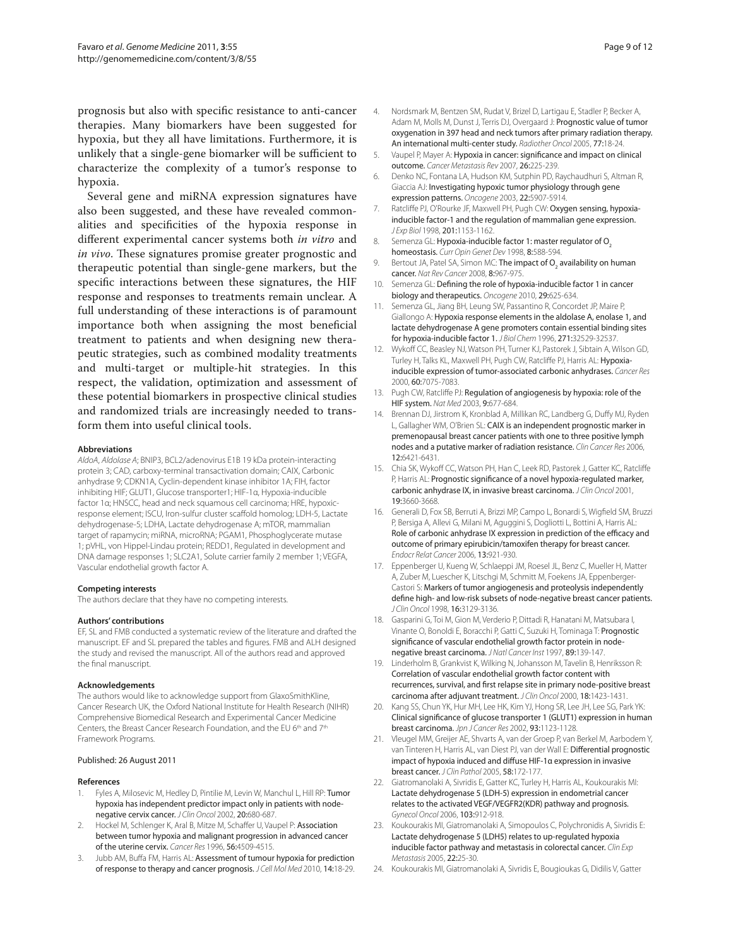prognosis but also with specific resistance to anti-cancer therapies. Many biomarkers have been suggested for hypoxia, but they all have limitations. Furthermore, it is unlikely that a single-gene biomarker will be sufficient to characterize the complexity of a tumor's response to hypoxia.

Several gene and miRNA expression signatures have also been suggested, and these have revealed commonalities and specificities of the hypoxia response in different experimental cancer systems both *in vitro* and *in vivo*. These signatures promise greater prognostic and therapeutic potential than single-gene markers, but the specific interactions between these signatures, the HIF response and responses to treatments remain unclear. A full understanding of these interactions is of paramount importance both when assigning the most beneficial treatment to patients and when designing new therapeutic strategies, such as combined modality treatments and multi-target or multiple-hit strategies. In this respect, the validation, optimization and assessment of these potential biomarkers in prospective clinical studies and randomized trials are increasingly needed to transform them into useful clinical tools.

#### **Abbreviations**

*AldoA*, *Aldolase A*; BNIP3, BCL2/adenovirus E1B 19 kDa protein-interacting protein 3; CAD, carboxy-terminal transactivation domain; CAIX, Carbonic anhydrase 9; CDKN1A, Cyclin-dependent kinase inhibitor 1A; FIH, factor inhibiting HIF; GLUT1, Glucose transporter1; HIF-1α, Hypoxia-inducible factor 1α; HNSCC, head and neck squamous cell carcinoma; HRE, hypoxicresponse element; ISCU, Iron-sulfur cluster scaffold homolog; LDH-5, Lactate dehydrogenase-5; LDHA, Lactate dehydrogenase A; mTOR, mammalian target of rapamycin; miRNA, microRNA; PGAM1, Phosphoglycerate mutase 1; pVHL, von Hippel-Lindau protein; REDD1, Regulated in development and DNA damage responses 1; SLC2A1, Solute carrier family 2 member 1; VEGFA, Vascular endothelial growth factor A.

#### **Competing interests**

The authors declare that they have no competing interests.

#### **Authors' contributions**

EF, SL and FMB conducted a systematic review of the literature and drafted the manuscript. EF and SL prepared the tables and figures. FMB and ALH designed the study and revised the manuscript. All of the authors read and approved the final manuscript.

#### **Acknowledgements**

The authors would like to acknowledge support from GlaxoSmithKline, Cancer Research UK, the Oxford National Institute for Health Research (NIHR) Comprehensive Biomedical Research and Experimental Cancer Medicine Centers, the Breast Cancer Research Foundation, and the EU 6th and 7th Framework Programs.

#### Published: 26 August 2011

#### **References**

- Fyles A, Milosevic M, Hedley D, Pintilie M, Levin W, Manchul L, Hill RP: Tumor hypoxia has independent predictor impact only in patients with nodenegative cervix cancer. *J Clin Oncol* 2002, 20:680-687.
- Hockel M, Schlenger K, Aral B, Mitze M, Schaffer U, Vaupel P: Association between tumor hypoxia and malignant progression in advanced cancer of the uterine cervix. *Cancer Res* 1996, 56:4509-4515.
- 3. Jubb AM, Buffa FM, Harris AL: Assessment of tumour hypoxia for prediction of response to therapy and cancer prognosis. *J Cell Mol Med* 2010, 14:18-29.
- 4. Nordsmark M, Bentzen SM, Rudat V, Brizel D, Lartigau E, Stadler P, Becker A, Adam M, Molls M, Dunst J, Terris DJ, Overgaard J: Prognostic value of tumor oxygenation in 397 head and neck tumors after primary radiation therapy. An international multi-center study. *Radiother Oncol* 2005, 77:18-24.
- 5. Vaupel P, Mayer A: Hypoxia in cancer: significance and impact on clinical outcome. *Cancer Metastasis Rev* 2007, 26:225-239.
- 6. Denko NC, Fontana LA, Hudson KM, Sutphin PD, Raychaudhuri S, Altman R, Giaccia AJ: Investigating hypoxic tumor physiology through gene expression patterns. *Oncogene* 2003, 22:5907-5914.
- 7. Ratcliffe PJ, O'Rourke JF, Maxwell PH, Pugh CW: Oxygen sensing, hypoxiainducible factor-1 and the regulation of mammalian gene expression. *J Exp Biol* 1998, 201:1153-1162.
- 8. Semenza GL: Hypoxia-inducible factor 1: master regulator of O<sub>2</sub> homeostasis. *Curr Opin Genet Dev* 1998, 8:588-594.
- 9. Bertout JA, Patel SA, Simon MC: **The impact of O<sub>2</sub> availability on human** cancer. *Nat Rev Cancer* 2008, 8:967-975.
- 10. Semenza GL: Defining the role of hypoxia-inducible factor 1 in cancer biology and therapeutics. *Oncogene* 2010, 29:625-634.
- 11. Semenza GL, Jiang BH, Leung SW, Passantino R, Concordet JP, Maire P, Giallongo A: Hypoxia response elements in the aldolase A, enolase 1, and lactate dehydrogenase A gene promoters contain essential binding sites for hypoxia-inducible factor 1. *J Biol Chem* 1996, 271:32529-32537.
- 12. Wykoff CC, Beasley NJ, Watson PH, Turner KJ, Pastorek J, Sibtain A, Wilson GD, Turley H, Talks KL, Maxwell PH, Pugh CW, Ratcliffe PJ, Harris AL: Hypoxiainducible expression of tumor-associated carbonic anhydrases. *Cancer Res*  2000, 60:7075-7083.
- 13. Pugh CW, Ratcliffe PJ: Regulation of angiogenesis by hypoxia: role of the HIF system. *Nat Med* 2003, 9:677-684.
- 14. Brennan DJ, Jirstrom K, Kronblad A, Millikan RC, Landberg G, Duffy MJ, Ryden L, Gallagher WM, O'Brien SL: CAIX is an independent prognostic marker in premenopausal breast cancer patients with one to three positive lymph nodes and a putative marker of radiation resistance. *Clin Cancer Res* 2006, 12:6421-6431.
- 15. Chia SK, Wykoff CC, Watson PH, Han C, Leek RD, Pastorek J, Gatter KC, Ratcliffe P, Harris AL: Prognostic significance of a novel hypoxia-regulated marker, carbonic anhydrase IX, in invasive breast carcinoma. *J Clin Oncol* 2001, 19:3660-3668.
- 16. Generali D, Fox SB, Berruti A, Brizzi MP, Campo L, Bonardi S, Wigfield SM, Bruzzi P, Bersiga A, Allevi G, Milani M, Aguggini S, Dogliotti L, Bottini A, Harris AL: Role of carbonic anhydrase IX expression in prediction of the efficacy and outcome of primary epirubicin/tamoxifen therapy for breast cancer. *Endocr Relat Cancer* 2006, 13:921-930.
- 17. Eppenberger U, Kueng W, Schlaeppi JM, Roesel JL, Benz C, Mueller H, Matter A, Zuber M, Luescher K, Litschgi M, Schmitt M, Foekens JA, Eppenberger-Castori S: Markers of tumor angiogenesis and proteolysis independently define high- and low-risk subsets of node-negative breast cancer patients. *J Clin Oncol* 1998, 16:3129-3136.
- 18. Gasparini G, Toi M, Gion M, Verderio P, Dittadi R, Hanatani M, Matsubara I, Vinante O, Bonoldi E, Boracchi P, Gatti C, Suzuki H, Tominaga T: Prognostic significance of vascular endothelial growth factor protein in nodenegative breast carcinoma. *J Natl Cancer Inst* 1997, 89:139-147.
- 19. Linderholm B, Grankvist K, Wilking N, Johansson M, Tavelin B, Henriksson R: Correlation of vascular endothelial growth factor content with recurrences, survival, and first relapse site in primary node-positive breast carcinoma after adjuvant treatment. *J Clin Oncol* 2000, 18:1423-1431.
- 20. Kang SS, Chun YK, Hur MH, Lee HK, Kim YJ, Hong SR, Lee JH, Lee SG, Park YK: Clinical significance of glucose transporter 1 (GLUT1) expression in human breast carcinoma. *Jpn J Cancer Res* 2002, 93:1123-1128.
- 21. Vleugel MM, Greijer AE, Shvarts A, van der Groep P, van Berkel M, Aarbodem Y, van Tinteren H, Harris AL, van Diest PJ, van der Wall E: Differential prognostic impact of hypoxia induced and diffuse HIF-1α expression in invasive breast cancer. *J Clin Pathol* 2005, 58:172-177.
- 22. Giatromanolaki A, Sivridis E, Gatter KC, Turley H, Harris AL, Koukourakis MI: Lactate dehydrogenase 5 (LDH-5) expression in endometrial cancer relates to the activated VEGF/VEGFR2(KDR) pathway and prognosis. *Gynecol Oncol* 2006, 103:912-918.
- 23. Koukourakis MI, Giatromanolaki A, Simopoulos C, Polychronidis A, Sivridis E: Lactate dehydrogenase 5 (LDH5) relates to up-regulated hypoxia inducible factor pathway and metastasis in colorectal cancer. *Clin Exp Metastasis* 2005, 22:25-30.
- 24. Koukourakis MI, Giatromanolaki A, Sivridis E, Bougioukas G, Didilis V, Gatter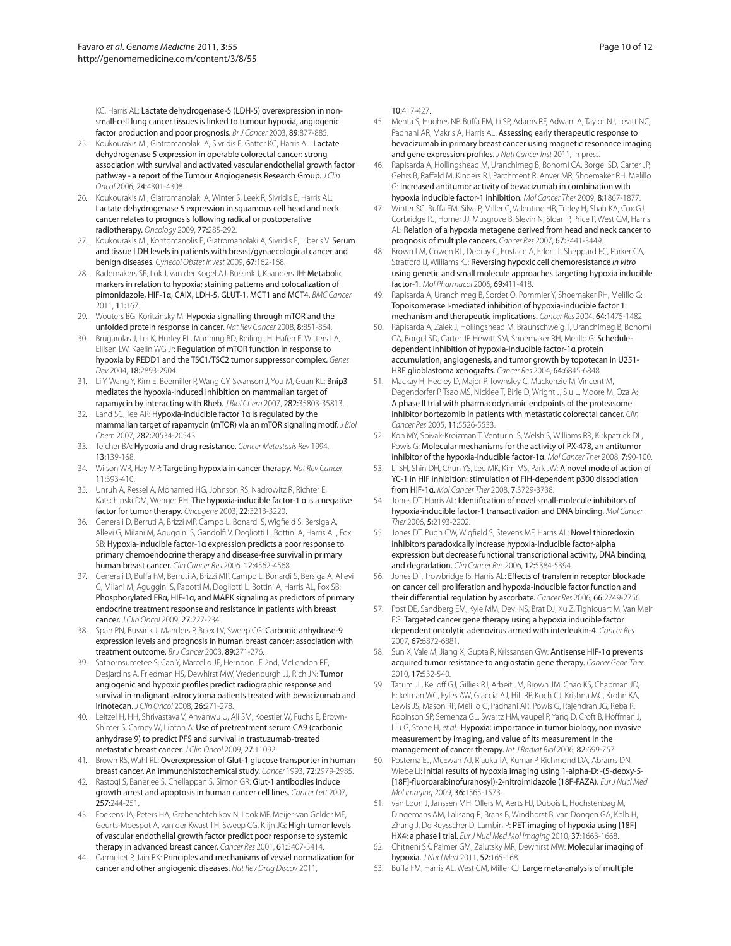KC, Harris AL: Lactate dehydrogenase-5 (LDH-5) overexpression in nonsmall-cell lung cancer tissues is linked to tumour hypoxia, angiogenic factor production and poor prognosis. *Br J Cancer* 2003, 89:877-885.

- 25. Koukourakis MI, Giatromanolaki A, Sivridis E, Gatter KC, Harris AL: Lactate dehydrogenase 5 expression in operable colorectal cancer: strong association with survival and activated vascular endothelial growth factor pathway - a report of the Tumour Angiogenesis Research Group. *J Clin Oncol* 2006, 24:4301-4308.
- 26. Koukourakis MI, Giatromanolaki A, Winter S, Leek R, Sivridis E, Harris AL: Lactate dehydrogenase 5 expression in squamous cell head and neck cancer relates to prognosis following radical or postoperative radiotherapy. *Oncology* 2009, 77:285-292.
- 27. Koukourakis MI, Kontomanolis E, Giatromanolaki A, Sivridis E, Liberis V: Serum and tissue LDH levels in patients with breast/gynaecological cancer and benign diseases. *Gynecol Obstet Invest* 2009, 67:162-168.
- 28. Rademakers SE, Lok J, van der Kogel AJ, Bussink J, Kaanders JH: Metabolic markers in relation to hypoxia; staining patterns and colocalization of pimonidazole, HIF-1α, CAIX, LDH-5, GLUT-1, MCT1 and MCT4. *BMC Cancer* 2011, 11:167.
- 29. Wouters BG, Koritzinsky M: Hypoxia signalling through mTOR and the unfolded protein response in cancer. *Nat Rev Cancer* 2008, 8:851-864.
- 30. Brugarolas J, Lei K, Hurley RL, Manning BD, Reiling JH, Hafen E, Witters LA, Ellisen LW, Kaelin WG Jr: Regulation of mTOR function in response to hypoxia by REDD1 and the TSC1/TSC2 tumor suppressor complex. *Genes Dev* 2004, 18:2893-2904.
- 31. Li Y, Wang Y, Kim E, Beemiller P, Wang CY, Swanson J, You M, Guan KL: Bnip3 mediates the hypoxia-induced inhibition on mammalian target of rapamycin by interacting with Rheb. *J Biol Chem* 2007, 282:35803-35813.
- 32. Land SC, Tee AR: Hypoxia-inducible factor 1α is regulated by the mammalian target of rapamycin (mTOR) via an mTOR signaling motif. *J Biol Chem* 2007, 282:20534-20543.
- 33. Teicher BA: Hypoxia and drug resistance. *Cancer Metastasis Rev* 1994, 13:139-168.
- 34. Wilson WR, Hay MP: Targeting hypoxia in cancer therapy. *Nat Rev Cancer*, 11:393-410.
- 35. Unruh A, Ressel A, Mohamed HG, Johnson RS, Nadrowitz R, Richter E, Katschinski DM, Wenger RH: The hypoxia-inducible factor-1 α is a negative factor for tumor therapy. *Oncogene* 2003, 22:3213-3220.
- 36. Generali D, Berruti A, Brizzi MP, Campo L, Bonardi S, Wigfield S, Bersiga A, Allevi G, Milani M, Aguggini S, Gandolfi V, Dogliotti L, Bottini A, Harris AL, Fox SB: Hypoxia-inducible factor-1α expression predicts a poor response to primary chemoendocrine therapy and disease-free survival in primary human breast cancer. *Clin Cancer Res* 2006, 12:4562-4568.
- 37. Generali D, Buffa FM, Berruti A, Brizzi MP, Campo L, Bonardi S, Bersiga A, Allevi G, Milani M, Aguggini S, Papotti M, Dogliotti L, Bottini A, Harris AL, Fox SB: Phosphorylated ERα, HIF-1α, and MAPK signaling as predictors of primary endocrine treatment response and resistance in patients with breast cancer. *J Clin Oncol* 2009, 27:227-234.
- 38. Span PN, Bussink J, Manders P, Beex LV, Sweep CG: Carbonic anhydrase-9 expression levels and prognosis in human breast cancer: association with treatment outcome. *Br J Cancer* 2003, 89:271-276.
- Sathornsumetee S, Cao Y, Marcello JE, Herndon JE 2nd, McLendon RE, Desjardins A, Friedman HS, Dewhirst MW, Vredenburgh JJ, Rich JN: Tumor angiogenic and hypoxic profiles predict radiographic response and survival in malignant astrocytoma patients treated with bevacizumab and irinotecan. *J Clin Oncol* 2008, 26:271-278.
- 40. Leitzel H, HH, Shrivastava V, Anyanwu U, Ali SM, Koestler W, Fuchs E, Brown-Shimer S, Carney W, Lipton A: Use of pretreatment serum CA9 (carbonic anhydrase 9) to predict PFS and survival in trastuzumab-treated metastatic breast cancer. *J Clin Oncol* 2009, 27:11092.
- 41. Brown RS, Wahl RL: Overexpression of Glut-1 glucose transporter in human breast cancer. An immunohistochemical study. *Cancer* 1993, 72:2979-2985.
- 42. Rastogi S, Banerjee S, Chellappan S, Simon GR: Glut-1 antibodies induce growth arrest and apoptosis in human cancer cell lines. *Cancer Lett* 2007, 257:244-251.
- 43. Foekens JA, Peters HA, Grebenchtchikov N, Look MP, Meijer-van Gelder ME, Geurts-Moespot A, van der Kwast TH, Sweep CG, Klijn JG: High tumor levels of vascular endothelial growth factor predict poor response to systemic therapy in advanced breast cancer. *Cancer Res* 2001, 61:5407-5414.
- 44. Carmeliet P, Jain RK: Principles and mechanisms of vessel normalization for cancer and other angiogenic diseases. *Nat Rev Drug Discov* 2011,

10:417-427.

- 45. Mehta S, Hughes NP, Buffa FM, Li SP, Adams RF, Adwani A, Taylor NJ, Levitt NC, Padhani AR, Makris A, Harris AL: Assessing early therapeutic response to bevacizumab in primary breast cancer using magnetic resonance imaging and gene expression profiles. *J Natl Cancer Inst* 2011, in press.
- 46. Rapisarda A, Hollingshead M, Uranchimeg B, Bonomi CA, Borgel SD, Carter JP, Gehrs B, Raffeld M, Kinders RJ, Parchment R, Anver MR, Shoemaker RH, Melillo G: Increased antitumor activity of bevacizumab in combination with hypoxia inducible factor-1 inhibition. *Mol Cancer Ther* 2009, 8:1867-1877.
- 47. Winter SC, Buffa FM, Silva P, Miller C, Valentine HR, Turley H, Shah KA, Cox GJ, Corbridge RJ, Homer JJ, Musgrove B, Slevin N, Sloan P, Price P, West CM, Harris AL: Relation of a hypoxia metagene derived from head and neck cancer to prognosis of multiple cancers. *Cancer Res* 2007, 67:3441-3449.
- 48. Brown LM, Cowen RL, Debray C, Eustace A, Erler JT, Sheppard FC, Parker CA, Stratford IJ, Williams KJ: Reversing hypoxic cell chemoresistance *in vitro*  using genetic and small molecule approaches targeting hypoxia inducible factor-1. *Mol Pharmacol* 2006, 69:411-418.
- 49. Rapisarda A, Uranchimeg B, Sordet O, Pommier Y, Shoemaker RH, Melillo G: Topoisomerase I-mediated inhibition of hypoxia-inducible factor 1: mechanism and therapeutic implications. *Cancer Res* 2004, 64:1475-1482.
- 50. Rapisarda A, Zalek J, Hollingshead M, Braunschweig T, Uranchimeg B, Bonomi CA, Borgel SD, Carter JP, Hewitt SM, Shoemaker RH, Melillo G: Scheduledependent inhibition of hypoxia-inducible factor-1α protein accumulation, angiogenesis, and tumor growth by topotecan in U251- HRE glioblastoma xenografts. *Cancer Res* 2004, 64:6845-6848.
- 51. Mackay H, Hedley D, Major P, Townsley C, Mackenzie M, Vincent M, Degendorfer P, Tsao MS, Nicklee T, Birle D, Wright J, Siu L, Moore M, Oza A: A phase II trial with pharmacodynamic endpoints of the proteasome inhibitor bortezomib in patients with metastatic colorectal cancer. *Clin Cancer Res* 2005, 11:5526-5533.
- 52. Koh MY, Spivak-Kroizman T, Venturini S, Welsh S, Williams RR, Kirkpatrick DL, Powis G: Molecular mechanisms for the activity of PX-478, an antitumor inhibitor of the hypoxia-inducible factor-1α. *Mol Cancer Ther* 2008, 7:90-100.
- 53. Li SH, Shin DH, Chun YS, Lee MK, Kim MS, Park JW; A novel mode of action of YC-1 in HIF inhibition: stimulation of FIH-dependent p300 dissociation from HIF-1α. *Mol Cancer Ther* 2008, 7:3729-3738.
- 54. Jones DT, Harris AL: Identification of novel small-molecule inhibitors of hypoxia-inducible factor-1 transactivation and DNA binding. *Mol Cancer Ther* 2006, 5:2193-2202.
- 55. Jones DT, Pugh CW, Wigfield S, Stevens MF, Harris AL: Novel thioredoxin inhibitors paradoxically increase hypoxia-inducible factor-alpha expression but decrease functional transcriptional activity, DNA binding, and degradation. *Clin Cancer Res* 2006, 12:5384-5394.
- 56. Jones DT, Trowbridge IS, Harris AL: Effects of transferrin receptor blockade on cancer cell proliferation and hypoxia-inducible factor function and their differential regulation by ascorbate. *Cancer Res* 2006, 66:2749-2756.
- 57. Post DE, Sandberg EM, Kyle MM, Devi NS, Brat DJ, Xu Z, Tighiouart M, Van Meir EG: Targeted cancer gene therapy using a hypoxia inducible factor dependent oncolytic adenovirus armed with interleukin-4. *Cancer Res*  2007, 67:6872-6881.
- 58. Sun X, Vale M, Jiang X, Gupta R, Krissansen GW: Antisense HIF-1α prevents acquired tumor resistance to angiostatin gene therapy. *Cancer Gene Ther*  2010, 17:532-540.
- 59. Tatum JL, Kelloff GJ, Gillies RJ, Arbeit JM, Brown JM, Chao KS, Chapman JD, Eckelman WC, Fyles AW, Giaccia AJ, Hill RP, Koch CJ, Krishna MC, Krohn KA, Lewis JS, Mason RP, Melillo G, Padhani AR, Powis G, Rajendran JG, Reba R, Robinson SP, Semenza GL, Swartz HM, Vaupel P, Yang D, Croft B, Hoffman J, Liu G, Stone H, *et al.*: Hypoxia: importance in tumor biology, noninvasive measurement by imaging, and value of its measurement in the management of cancer therapy. *Int J Radiat Biol* 2006, 82:699-757.
- 60. Postema EJ, McEwan AJ, Riauka TA, Kumar P, Richmond DA, Abrams DN, Wiebe LI: Initial results of hypoxia imaging using 1-alpha-D: -(5-deoxy-5- [18F]-fluoroarabinofuranosyl)-2-nitroimidazole (18F-FAZA). *Eur J Nucl Med Mol Imaging* 2009, 36:1565-1573.
- 61. van Loon J, Janssen MH, Ollers M, Aerts HJ, Dubois L, Hochstenbag M, Dingemans AM, Lalisang R, Brans B, Windhorst B, van Dongen GA, Kolb H, Zhang J, De Ruysscher D, Lambin P: PET imaging of hypoxia using [18F] HX4: a phase I trial. *Eur J Nucl Med Mol Imaging* 2010, 37:1663-1668.
- 62. Chitneni SK, Palmer GM, Zalutsky MR, Dewhirst MW: Molecular imaging of hypoxia. *J Nucl Med* 2011, 52:165-168.
- 63. Buffa FM, Harris AL, West CM, Miller CJ: Large meta-analysis of multiple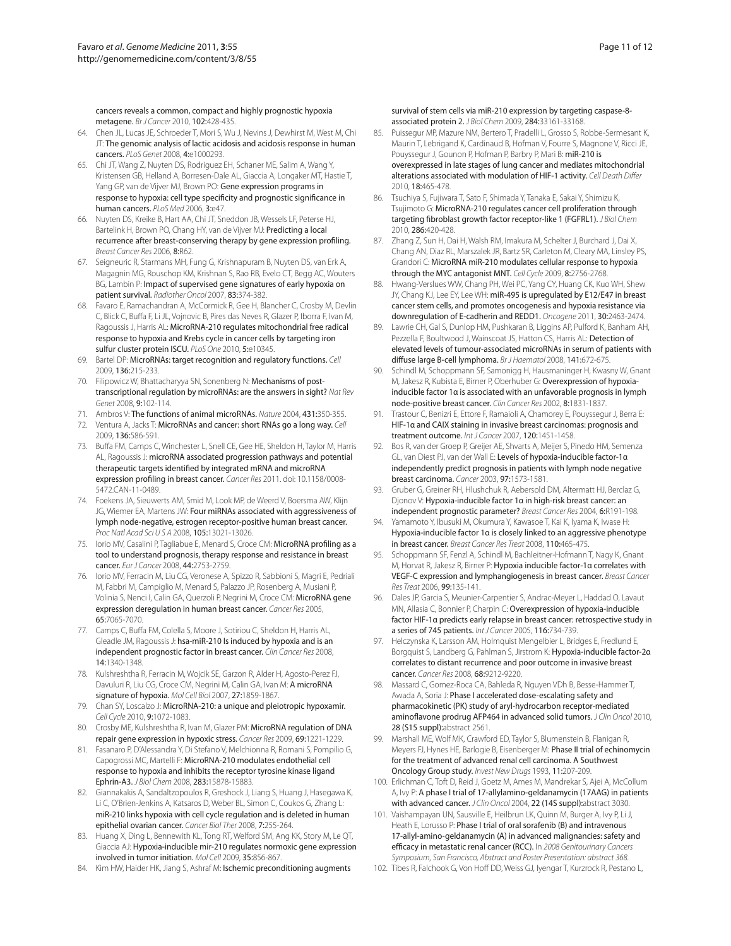cancers reveals a common, compact and highly prognostic hypoxia metagene. *Br J Cancer* 2010, 102:428-435.

- 64. Chen JL, Lucas JE, Schroeder T, Mori S, Wu J, Nevins J, Dewhirst M, West M, Chi JT: The genomic analysis of lactic acidosis and acidosis response in human cancers. *PLoS Genet* 2008, 4:e1000293.
- 65. Chi JT, Wang Z, Nuyten DS, Rodriguez EH, Schaner ME, Salim A, Wang Y, Kristensen GB, Helland A, Borresen-Dale AL, Giaccia A, Longaker MT, Hastie T, Yang GP, van de Vijver MJ, Brown PO: Gene expression programs in response to hypoxia: cell type specificity and prognostic significance in human cancers. *PLoS Med* 2006, 3:e47.
- 66. Nuyten DS, Kreike B, Hart AA, Chi JT, Sneddon JB, Wessels LF, Peterse HJ, Bartelink H, Brown PO, Chang HY, van de Vijver MJ: Predicting a local recurrence after breast-conserving therapy by gene expression profiling. *Breast Cancer Res* 2006, 8:R62.
- 67. Seigneuric R, Starmans MH, Fung G, Krishnapuram B, Nuyten DS, van Erk A, Magagnin MG, Rouschop KM, Krishnan S, Rao RB, Evelo CT, Begg AC, Wouters BG, Lambin P: Impact of supervised gene signatures of early hypoxia on patient survival. *Radiother Oncol* 2007, 83:374-382.
- 68. Favaro E, Ramachandran A, McCormick R, Gee H, Blancher C, Crosby M, Devlin C, Blick C, Buffa F, Li JL, Vojnovic B, Pires das Neves R, Glazer P, Iborra F, Ivan M, Ragoussis J, Harris AL: MicroRNA-210 regulates mitochondrial free radical response to hypoxia and Krebs cycle in cancer cells by targeting iron sulfur cluster protein ISCU. *PLoS One* 2010, 5:e10345.
- 69. Bartel DP: MicroRNAs: target recognition and regulatory functions. *Cell*  2009, 136:215-233.
- 70. Filipowicz W, Bhattacharyya SN, Sonenberg N: Mechanisms of posttranscriptional regulation by microRNAs: are the answers in sight? *Nat Rev Genet* 2008, 9:102-114.
- 71. Ambros V: The functions of animal microRNAs. *Nature* 2004, 431:350-355.
- 72. Ventura A, Jacks T: MicroRNAs and cancer: short RNAs go a long way. *Cell*  2009, 136:586-591.
- 73. Buffa FM, Camps C, Winchester L, Snell CE, Gee HE, Sheldon H, Taylor M, Harris AL, Ragoussis J: microRNA associated progression pathways and potential therapeutic targets identified by integrated mRNA and microRNA expression profiling in breast cancer. *Cancer Res* 2011. doi: 10.1158/0008- 5472 CAN-11-0489
- 74. Foekens JA, Sieuwerts AM, Smid M, Look MP, de Weerd V, Boersma AW, Klijn JG, Wiemer EA, Martens JW: Four miRNAs associated with aggressiveness of lymph node-negative, estrogen receptor-positive human breast cancer. *Proc Natl Acad Sci U S A* 2008, 105:13021-13026.
- 75. Iorio MV, Casalini P, Tagliabue E, Menard S, Croce CM: MicroRNA profiling as a tool to understand prognosis, therapy response and resistance in breast cancer. *Eur J Cancer* 2008, 44:2753-2759.
- 76. Iorio MV, Ferracin M, Liu CG, Veronese A, Spizzo R, Sabbioni S, Magri E, Pedriali M, Fabbri M, Campiglio M, Menard S, Palazzo JP, Rosenberg A, Musiani P, Volinia S, Nenci I, Calin GA, Querzoli P, Negrini M, Croce CM: MicroRNA gene expression deregulation in human breast cancer. *Cancer Res* 2005, 65:7065-7070.
- 77. Camps C, Buffa FM, Colella S, Moore J, Sotiriou C, Sheldon H, Harris AL, Gleadle JM, Ragoussis J: hsa-miR-210 Is induced by hypoxia and is an independent prognostic factor in breast cancer. *Clin Cancer Res* 2008, 14:1340-1348.
- 78. Kulshreshtha R, Ferracin M, Wojcik SE, Garzon R, Alder H, Agosto-Perez FJ, Davuluri R, Liu CG, Croce CM, Negrini M, Calin GA, Ivan M: A microRNA signature of hypoxia. *Mol Cell Biol* 2007, 27:1859-1867.
- 79. Chan SY, Loscalzo J: MicroRNA-210: a unique and pleiotropic hypoxamir. *Cell Cycle* 2010, 9:1072-1083.
- 80. Crosby ME, Kulshreshtha R, Ivan M, Glazer PM: MicroRNA regulation of DNA repair gene expression in hypoxic stress. *Cancer Res* 2009, 69:1221-1229.
- 81. Fasanaro P, D'Alessandra Y, Di Stefano V, Melchionna R, Romani S, Pompilio G, Capogrossi MC, Martelli F: MicroRNA-210 modulates endothelial cell response to hypoxia and inhibits the receptor tyrosine kinase ligand Ephrin-A3. *J Biol Chem* 2008, 283:15878-15883.
- 82. Giannakakis A, Sandaltzopoulos R, Greshock J, Liang S, Huang J, Hasegawa K, Li C, O'Brien-Jenkins A, Katsaros D, Weber BL, Simon C, Coukos G, Zhang L: miR-210 links hypoxia with cell cycle regulation and is deleted in human epithelial ovarian cancer. *Cancer Biol Ther* 2008, 7:255-264.
- 83. Huang X, Ding L, Bennewith KL, Tong RT, Welford SM, Ang KK, Story M, Le QT, Giaccia AJ: Hypoxia-inducible mir-210 regulates normoxic gene expression involved in tumor initiation. *Mol Cell* 2009, 35:856-867.
- 84. Kim HW, Haider HK, Jiang S, Ashraf M: Ischemic preconditioning augments

#### survival of stem cells via miR-210 expression by targeting caspase-8 associated protein 2. *J Biol Chem* 2009, 284:33161-33168.

- 85. Puissegur MP, Mazure NM, Bertero T, Pradelli L, Grosso S, Robbe-Sermesant K, Maurin T, Lebrigand K, Cardinaud B, Hofman V, Fourre S, Magnone V, Ricci JE, Pouyssegur J, Gounon P, Hofman P, Barbry P, Mari B: miR-210 is overexpressed in late stages of lung cancer and mediates mitochondrial alterations associated with modulation of HIF-1 activity. *Cell Death Differ*  2010, 18:465-478.
- 86. Tsuchiya S, Fujiwara T, Sato F, Shimada Y, Tanaka E, Sakai Y, Shimizu K, Tsujimoto G: MicroRNA-210 regulates cancer cell proliferation through targeting fibroblast growth factor receptor-like 1 (FGFRL1). *J Biol Chem*  2010, 286:420-428.
- 87. Zhang Z, Sun H, Dai H, Walsh RM, Imakura M, Schelter J, Burchard J, Dai X, Chang AN, Diaz RL, Marszalek JR, Bartz SR, Carleton M, Cleary MA, Linsley PS, Grandori C: MicroRNA miR-210 modulates cellular response to hypoxia through the MYC antagonist MNT. *Cell Cycle* 2009, 8:2756-2768.
- 88. Hwang-Verslues WW, Chang PH, Wei PC, Yang CY, Huang CK, Kuo WH, Shew JY, Chang KJ, Lee EY, Lee WH: miR-495 is upregulated by E12/E47 in breast cancer stem cells, and promotes oncogenesis and hypoxia resistance via downregulation of E-cadherin and REDD1. *Oncogene* 2011, 30:2463-2474.
- 89. Lawrie CH, Gal S, Dunlop HM, Pushkaran B, Liggins AP, Pulford K, Banham AH, Pezzella F, Boultwood J, Wainscoat JS, Hatton CS, Harris AL: Detection of elevated levels of tumour-associated microRNAs in serum of patients with diffuse large B-cell lymphoma. *Br J Haematol* 2008, 141:672-675.
- 90. Schindl M, Schoppmann SF, Samonigg H, Hausmaninger H, Kwasny W, Gnant M, Jakesz R, Kubista E, Birner P, Oberhuber G: Overexpression of hypoxiainducible factor 1α is associated with an unfavorable prognosis in lymph node-positive breast cancer. *Clin Cancer Res* 2002, 8:1831-1837.
- 91. Trastour C, Benizri E, Ettore F, Ramaioli A, Chamorey E, Pouyssegur J, Berra E: HIF-1α and CAIX staining in invasive breast carcinomas: prognosis and treatment outcome. *Int J Cancer* 2007, 120:1451-1458.
- 92. Bos R, van der Groep P, Greijer AE, Shvarts A, Meijer S, Pinedo HM, Semenza GL, van Diest PJ, van der Wall E: Levels of hypoxia-inducible factor-1α independently predict prognosis in patients with lymph node negative breast carcinoma. *Cancer* 2003, 97:1573-1581.
- 93. Gruber G, Greiner RH, Hlushchuk R, Aebersold DM, Altermatt HJ, Berclaz G, Djonov V: Hypoxia-inducible factor 1α in high-risk breast cancer: an independent prognostic parameter? *Breast Cancer Res* 2004, 6:R191-198.
- 94. Yamamoto Y, Ibusuki M, Okumura Y, Kawasoe T, Kai K, Iyama K, Iwase H: Hypoxia-inducible factor 1α is closely linked to an aggressive phenotype in breast cancer. *Breast Cancer Res Treat* 2008, 110:465-475.
- 95. Schoppmann SF, Fenzl A, Schindl M, Bachleitner-Hofmann T, Nagy K, Gnant M, Horvat R, Jakesz R, Birner P: Hypoxia inducible factor-1α correlates with VEGF-C expression and lymphangiogenesis in breast cancer. *Breast Cancer Res Treat* 2006, 99:135-141.
- Dales JP, Garcia S, Meunier-Carpentier S, Andrac-Meyer L, Haddad O, Lavaut MN, Allasia C, Bonnier P, Charpin C: Overexpression of hypoxia-inducible factor HIF-1α predicts early relapse in breast cancer: retrospective study in a series of 745 patients. *Int J Cancer* 2005, 116:734-739.
- 97. Helczynska K, Larsson AM, Holmquist Mengelbier L, Bridges E, Fredlund E, Borgquist S, Landberg G, Pahlman S, Jirstrom K: Hypoxia-inducible factor-2α correlates to distant recurrence and poor outcome in invasive breast cancer. *Cancer Res* 2008, 68:9212-9220.
- 98. Massard C, Gomez-Roca CA, Bahleda R, Nguyen VDh B, Besse-Hammer T, Awada A, Soria J: Phase I accelerated dose-escalating safety and pharmacokinetic (PK) study of aryl-hydrocarbon receptor-mediated aminoflavone prodrug AFP464 in advanced solid tumors. *J Clin Oncol* 2010, 28 (S15 suppl):abstract 2561.
- 99. Marshall ME, Wolf MK, Crawford ED, Taylor S, Blumenstein B, Flanigan R, Meyers FJ, Hynes HE, Barlogie B, Eisenberger M: Phase II trial of echinomycin for the treatment of advanced renal cell carcinoma. A Southwest Oncology Group study. *Invest New Drugs* 1993, 11:207-209.
- 100. Erlichman C, Toft D, Reid J, Goetz M, Ames M, Mandrekar S, Ajei A, McCollum A, Ivy P: A phase I trial of 17-allylamino-geldanamycin (17AAG) in patients with advanced cancer. *J Clin Oncol* 2004, 22 (14S suppl):abstract 3030.
- 101. Vaishampayan UN, Sausville E, Heilbrun LK, Quinn M, Burger A, Ivy P, Li J, Heath E, Lorusso P: Phase I trial of oral sorafenib (B) and intravenous 17-allyl-amino-geldanamycin (A) in advanced malignancies: safety and efficacy in metastatic renal cancer (RCC). In *2008 Genitourinary Cancers Symposium, San Francisco, Abstract and Poster Presentation: abstract 368*.
- 102. Tibes R, Falchook G, Von Hoff DD, Weiss GJ, Iyengar T, Kurzrock R, Pestano L,